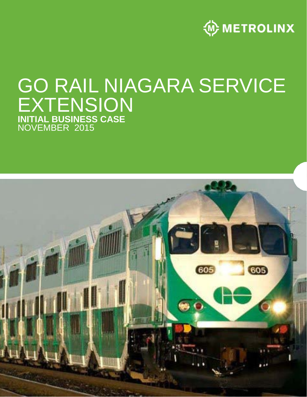

### EMRER 201 GO RAIL NIAGARA SERVICE EXTENSION **INITIAL BUSINESS CASE**  NOVEMBER 2015

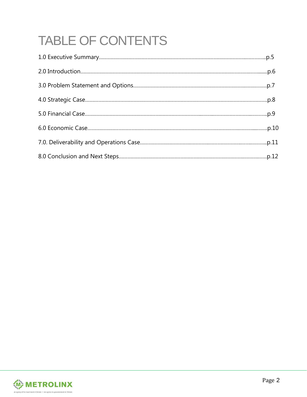# TABLE OF CONTENTS

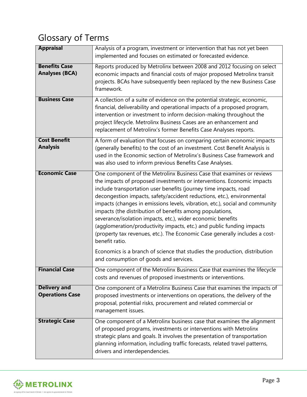### Glossary of Terms

| <b>Appraisal</b>                              | Analysis of a program, investment or intervention that has not yet been<br>implemented and focuses on estimated or forecasted evidence.                                                                                                                                                                                                                                                                                                                                                                                                                                                                                                                                                                                                                          |
|-----------------------------------------------|------------------------------------------------------------------------------------------------------------------------------------------------------------------------------------------------------------------------------------------------------------------------------------------------------------------------------------------------------------------------------------------------------------------------------------------------------------------------------------------------------------------------------------------------------------------------------------------------------------------------------------------------------------------------------------------------------------------------------------------------------------------|
| <b>Benefits Case</b><br><b>Analyses (BCA)</b> | Reports produced by Metrolinx between 2008 and 2012 focusing on select<br>economic impacts and financial costs of major proposed Metrolinx transit<br>projects. BCAs have subsequently been replaced by the new Business Case<br>framework.                                                                                                                                                                                                                                                                                                                                                                                                                                                                                                                      |
| <b>Business Case</b>                          | A collection of a suite of evidence on the potential strategic, economic,<br>financial, deliverability and operational impacts of a proposed program,<br>intervention or investment to inform decision-making throughout the<br>project lifecycle. Metrolinx Business Cases are an enhancement and<br>replacement of Metrolinx's former Benefits Case Analyses reports.                                                                                                                                                                                                                                                                                                                                                                                          |
| <b>Cost Benefit</b><br><b>Analysis</b>        | A form of evaluation that focuses on comparing certain economic impacts<br>(generally benefits) to the cost of an investment. Cost Benefit Analysis is<br>used in the Economic section of Metrolinx's Business Case framework and<br>was also used to inform previous Benefits Case Analyses.                                                                                                                                                                                                                                                                                                                                                                                                                                                                    |
| <b>Economic Case</b>                          | One component of the Metrolinx Business Case that examines or reviews<br>the impacts of proposed investments or interventions. Economic impacts<br>include transportation user benefits (journey time impacts, road<br>decongestion impacts, safety/accident reductions, etc.), environmental<br>impacts (changes in emissions levels, vibration, etc.), social and community<br>impacts (the distribution of benefits among populations,<br>severance/isolation impacts, etc.), wider economic benefits<br>(agglomeration/productivity impacts, etc.) and public funding impacts<br>(property tax revenues, etc.). The Economic Case generally includes a cost-<br>benefit ratio.<br>Economics is a branch of science that studies the production, distribution |
|                                               | and consumption of goods and services.                                                                                                                                                                                                                                                                                                                                                                                                                                                                                                                                                                                                                                                                                                                           |
| <b>Financial Case</b>                         | One component of the Metrolinx Business Case that examines the lifecycle<br>costs and revenues of proposed investments or interventions.                                                                                                                                                                                                                                                                                                                                                                                                                                                                                                                                                                                                                         |
| <b>Delivery and</b><br><b>Operations Case</b> | One component of a Metrolinx Business Case that examines the impacts of<br>proposed investments or interventions on operations, the delivery of the<br>proposal, potential risks, procurement and related commercial or<br>management issues.                                                                                                                                                                                                                                                                                                                                                                                                                                                                                                                    |
| <b>Strategic Case</b>                         | One component of a Metrolinx business case that examines the alignment<br>of proposed programs, investments or interventions with Metrolinx<br>strategic plans and goals. It involves the presentation of transportation<br>planning information, including traffic forecasts, related travel patterns,<br>drivers and interdependencies.                                                                                                                                                                                                                                                                                                                                                                                                                        |

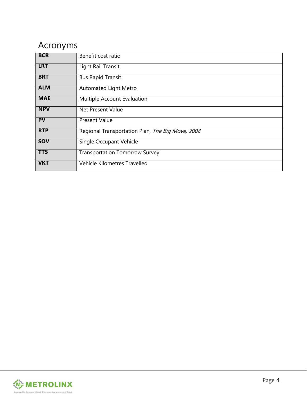### Acronyms

| <b>BCR</b> | Benefit cost ratio                               |
|------------|--------------------------------------------------|
| <b>LRT</b> | Light Rail Transit                               |
| <b>BRT</b> | <b>Bus Rapid Transit</b>                         |
| <b>ALM</b> | <b>Automated Light Metro</b>                     |
| <b>MAE</b> | Multiple Account Evaluation                      |
| <b>NPV</b> | Net Present Value                                |
| PV         | <b>Present Value</b>                             |
| <b>RTP</b> | Regional Transportation Plan, The Big Move, 2008 |
| <b>SOV</b> | Single Occupant Vehicle                          |
| <b>TTS</b> | <b>Transportation Tomorrow Survey</b>            |
| <b>VKT</b> | Vehicle Kilometres Travelled                     |

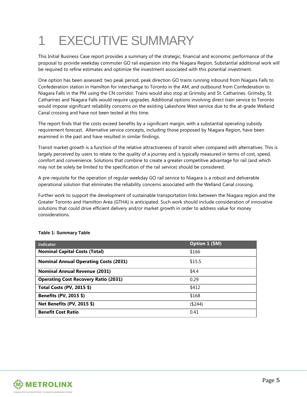### 1 EXECUTIVE SUMMARY

This Initial Business Case report provides a summary of the strategic, financial and economic performance of the proposal to provide weekday commuter GO rail expansion into the Niagara Region. Substantial additional work will be required to refine estimates and optimize the investment associated with this potential investment.

One option has been assessed: two peak period, peak direction GO trains running inbound from Niagara Falls to Confederation station in Hamilton for interchange to Toronto in the AM, and outbound from Confederation to Niagara Falls in the PM using the CN corridor. Trains would also stop at Grimsby and St. Catharines. Grimsby, St. Catharines and Niagara Falls would require upgrades. Additional options involving direct train service to Toronto would impose significant reliability concerns on the existing Lakeshore West service due to the at-grade Welland Canal crossing and have not been tested at this time.

The report finds that the costs exceed benefits by a significant margin, with a substantial operating subsidy requirement forecast. Alternative service concepts, including those proposed by Niagara Region, have been examined in the past and have resulted in similar findings.

Transit market growth is a function of the relative attractiveness of transit when compared with alternatives. This is largely perceived by users to relate to the quality of a journey and is typically measured in terms of cost, speed, comfort and convenience. Solutions that combine to create a greater competitive advantage for rail (and which may not be solely be limited to the specification of the rail service) should be considered.

A pre-requisite for the operation of regular weekday GO rail service to Niagara is a robust and deliverable operational solution that eliminates the reliability concerns associated with the Welland Canal crossing.

Further work to support the development of sustainable transportation links between the Niagara region and the Greater Toronto and Hamilton Area (GTHA) is anticipated. Such work should include consideration of innovative solutions that could drive efficient delivery and/or market growth in order to address value for money considerations.

| Indicator                                    | Option 1 (\$M) |
|----------------------------------------------|----------------|
| <b>Nominal Capital Costs (Total)</b>         | \$166          |
| <b>Nominal Annual Operating Costs (2031)</b> | \$15.5         |
| <b>Nominal Annual Revenue (2031)</b>         | \$4.4          |
| <b>Operating Cost Recovery Ratio (2031)</b>  | 0.29           |
| Total Costs (PV, 2015 \$)                    | \$412          |
| Benefits (PV, 2015 \$)                       | \$168          |
| Net Benefits (PV, 2015 \$)                   | (\$244)        |
| <b>Benefit Cost Ratio</b>                    | 0.41           |

#### **Table 1: Summary Table**

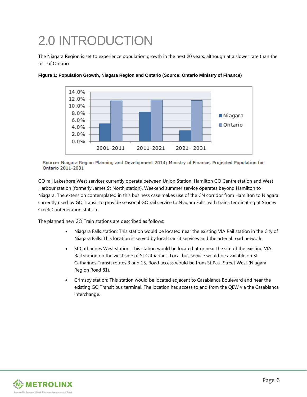### 2.0 INTRODUCTION

The Niagara Region is set to experience population growth in the next 20 years, although at a slower rate than the rest of Ontario.



**Figure 1: Population Growth, Niagara Region and Ontario (Source: Ontario Ministry of Finance)**

Source: Niagara Region Planning and Development 2014; Ministry of Finance, Projected Population for Ontario 2011-2031

GO rail Lakeshore West services currently operate between Union Station, Hamilton GO Centre station and West Harbour station (formerly James St North station). Weekend summer service operates beyond Hamilton to Niagara. The extension contemplated in this business case makes use of the CN corridor from Hamilton to Niagara currently used by GO Transit to provide seasonal GO rail service to Niagara Falls, with trains terminating at Stoney Creek Confederation station.

The planned new GO Train stations are described as follows:

- Niagara Falls station: This station would be located near the existing VIA Rail station in the City of Niagara Falls. This location is served by local transit services and the arterial road network.
- St Catharines West station: This station would be located at or near the site of the existing VIA Rail station on the west side of St Catharines. Local bus service would be available on St Catharines Transit routes 3 and 15. Road access would be from St Paul Street West (Niagara Region Road 81).
- Grimsby station: This station would be located adjacent to Casablanca Boulevard and near the existing GO Transit bus terminal. The location has access to and from the QEW via the Casablanca interchange.

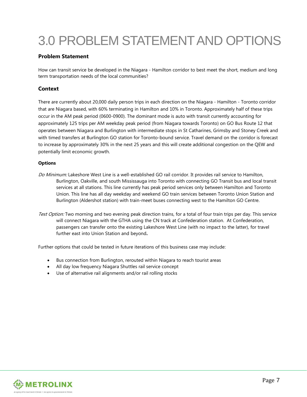## 3.0 PROBLEM STATEMENT AND OPTIONS

#### **Problem Statement**

How can transit service be developed in the Niagara - Hamilton corridor to best meet the short, medium and long term transportation needs of the local communities?

#### **Context**

There are currently about 20,000 daily person trips in each direction on the Niagara - Hamilton - Toronto corridor that are Niagara based, with 60% terminating in Hamilton and 10% in Toronto. Approximately half of these trips occur in the AM peak period (0600-0900). The dominant mode is auto with transit currently accounting for approximately 125 trips per AM weekday peak period (from Niagara towards Toronto) on GO Bus Route 12 that operates between Niagara and Burlington with intermediate stops in St Catharines, Grimsby and Stoney Creek and with timed transfers at Burlington GO station for Toronto-bound service. Travel demand on the corridor is forecast to increase by approximately 30% in the next 25 years and this will create additional congestion on the QEW and potentially limit economic growth.

#### **Options**

- Do Minimum: Lakeshore West Line is a well-established GO rail corridor. It provides rail service to Hamilton, Burlington, Oakville, and south Mississauga into Toronto with connecting GO Transit bus and local transit services at all stations. This line currently has peak period services only between Hamilton and Toronto Union. This line has all day weekday and weekend GO train services between Toronto Union Station and Burlington (Aldershot station) with train-meet buses connecting west to the Hamilton GO Centre.
- Test Option: Two morning and two evening peak direction trains, for a total of four train trips per day. This service will connect Niagara with the GTHA using the CN track at Confederation station. At Confederation, passengers can transfer onto the existing Lakeshore West Line (with no impact to the latter), for travel further east into Union Station and beyond**.**

Further options that could be tested in future iterations of this business case may include:

- Bus connection from Burlington, rerouted within Niagara to reach tourist areas
- All day low frequency Niagara Shuttles rail service concept
- Use of alternative rail alignments and/or rail rolling stocks

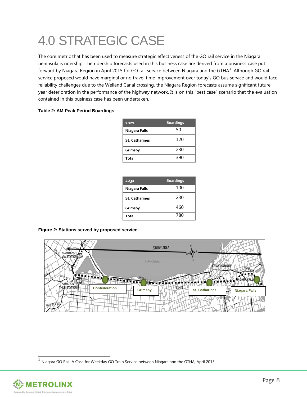## 4.0 STRATEGIC CASE

The core metric that has been used to measure strategic effectiveness of the GO rail service in the Niagara peninsula is ridership. The ridership forecasts used in this business case are derived from a business case put forward by Niagara Region in April 20[1](#page-8-0)5 for GO rail service between Niagara and the GTHA  $^{\rm 1}$ . Although GO rail service proposed would have marginal or no travel time improvement over today's GO bus service and would face reliability challenges due to the Welland Canal crossing, the Niagara Region forecasts assume significant future year deterioration in the performance of the highway network. It is on this "best case" scenario that the evaluation contained in this business case has been undertaken.

#### **Table 2: AM Peak Period Boardings**

| 2021                  | <b>Boardings</b> |
|-----------------------|------------------|
| Niagara Falls         | 50               |
| <b>St. Catharines</b> | 120              |
| Grimsby               | 230              |
| Total                 | 390              |

| 2031                  | <b>Boardings</b> |
|-----------------------|------------------|
| Niagara Falls         | 100              |
| <b>St. Catharines</b> | 230              |
| Grimsby               | 460              |
| Total                 | 780              |

#### **Figure 2: Stations served by proposed service**



 $<sup>1</sup>$  Niagara GO Rail: A Case for Weekday GO Train Service between Niagara and the GTHA, April 2015</sup>

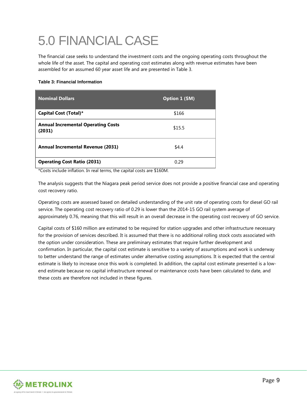## 5.0 FINANCIAL CASE

The financial case seeks to understand the investment costs and the ongoing operating costs throughout the whole life of the asset. The capital and operating cost estimates along with revenue estimates have been assembled for an assumed 60 year asset life and are presented in Table 3.

#### **Table 3: Financial Information**

| <b>Nominal Dollars</b>                              | Option 1 (\$M) |
|-----------------------------------------------------|----------------|
| Capital Cost (Total)*                               | \$166          |
| <b>Annual Incremental Operating Costs</b><br>(2031) | \$15.5         |
| <b>Annual Incremental Revenue (2031)</b>            | \$4.4          |
| <b>Operating Cost Ratio (2031)</b>                  | 0.29           |

\*Costs include inflation. In real terms, the capital costs are \$160M.

The analysis suggests that the Niagara peak period service does not provide a positive financial case and operating cost recovery ratio.

Operating costs are assessed based on detailed understanding of the unit rate of operating costs for diesel GO rail service. The operating cost recovery ratio of 0.29 is lower than the 2014-15 GO rail system average of approximately 0.76, meaning that this will result in an overall decrease in the operating cost recovery of GO service.

Capital costs of \$160 million are estimated to be required for station upgrades and other infrastructure necessary for the provision of services described. It is assumed that there is no additional rolling stock costs associated with the option under consideration. These are preliminary estimates that require further development and confirmation. In particular, the capital cost estimate is sensitive to a variety of assumptions and work is underway to better understand the range of estimates under alternative costing assumptions. It is expected that the central estimate is likely to increase once this work is completed. In addition, the capital cost estimate presented is a lowend estimate because no capital infrastructure renewal or maintenance costs have been calculated to date, and these costs are therefore not included in these figures.

<span id="page-8-0"></span>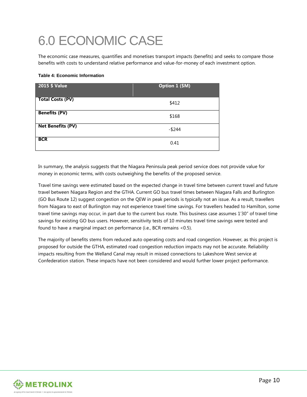## 6.0 ECONOMIC CASE

The economic case measures, quantifies and monetises transport impacts (benefits) and seeks to compare those benefits with costs to understand relative performance and value-for-money of each investment option.

#### **Table 4: Economic Information**

| 2015 \$ Value            | Option 1 (\$M) |
|--------------------------|----------------|
| <b>Total Costs (PV)</b>  | \$412          |
| <b>Benefits (PV)</b>     | \$168          |
| <b>Net Benefits (PV)</b> | $-$ \$244      |
| <b>BCR</b>               | 0.41           |

In summary, the analysis suggests that the Niagara Peninsula peak period service does not provide value for money in economic terms, with costs outweighing the benefits of the proposed service.

Travel time savings were estimated based on the expected change in travel time between current travel and future travel between Niagara Region and the GTHA. Current GO bus travel times between Niagara Falls and Burlington (GO Bus Route 12) suggest congestion on the QEW in peak periods is typically not an issue. As a result, travellers from Niagara to east of Burlington may not experience travel time savings. For travellers headed to Hamilton, some travel time savings may occur, in part due to the current bus route. This business case assumes 1'30" of travel time savings for existing GO bus users. However, sensitivity tests of 10 minutes travel time savings were tested and found to have a marginal impact on performance (i.e., BCR remains <0.5).

The majority of benefits stems from reduced auto operating costs and road congestion. However, as this project is proposed for outside the GTHA, estimated road congestion reduction impacts may not be accurate. Reliability impacts resulting from the Welland Canal may result in missed connections to Lakeshore West service at Confederation station. These impacts have not been considered and would further lower project performance.

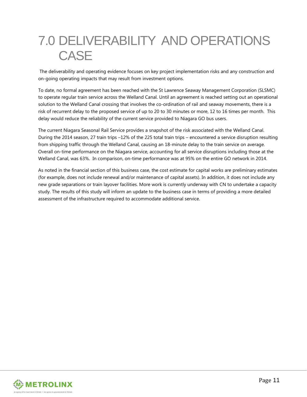### 7.0 DELIVERABILITY AND OPERATIONS **CASE**

The deliverability and operating evidence focuses on key project implementation risks and any construction and on-going operating impacts that may result from investment options.

To date, no formal agreement has been reached with the St Lawrence Seaway Management Corporation (SLSMC) to operate regular train service across the Welland Canal. Until an agreement is reached setting out an operational solution to the Welland Canal crossing that involves the co-ordination of rail and seaway movements, there is a risk of recurrent delay to the proposed service of up to 20 to 30 minutes or more, 12 to 16 times per month. This delay would reduce the reliability of the current service provided to Niagara GO bus users.

The current Niagara Seasonal Rail Service provides a snapshot of the risk associated with the Welland Canal. During the 2014 season, 27 train trips –12% of the 225 total train trips – encountered a service disruption resulting from shipping traffic through the Welland Canal, causing an 18-minute delay to the train service on average. Overall on-time performance on the Niagara service, accounting for all service disruptions including those at the Welland Canal, was 63%. In comparison, on-time performance was at 95% on the entire GO network in 2014.

As noted in the financial section of this business case, the cost estimate for capital works are preliminary estimates (for example, does not include renewal and/or maintenance of capital assets). In addition, it does not include any new grade separations or train layover facilities. More work is currently underway with CN to undertake a capacity study. The results of this study will inform an update to the business case in terms of providing a more detailed assessment of the infrastructure required to accommodate additional service.